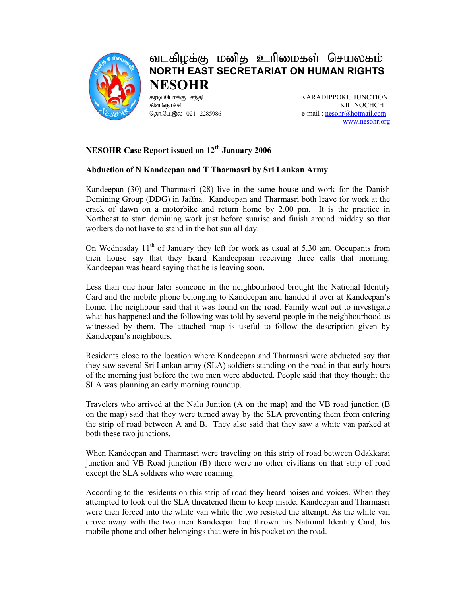

## வடகிழக்கு மனித உரிமைகள் செயலகம் **NORTH EAST SECRETARIAT ON HUMAN RIGHTS NESOHR**

fubg;Nghf;F re ;jp KARADIPPOKU JUNCTION fpspnehr;rp KILINOCHCHI தொ.பே.இல 021 2285986 e-mail : nesohr@hotmail.com www.nesohr.org

## **NESOHR Case Report issued on 12<sup>th</sup> January 2006**

## **Abduction of N Kandeepan and T Tharmasri by Sri Lankan Army**

Kandeepan (30) and Tharmasri (28) live in the same house and work for the Danish Demining Group (DDG) in Jaffna. Kandeepan and Tharmasri both leave for work at the crack of dawn on a motorbike and return home by 2.00 pm. It is the practice in Northeast to start demining work just before sunrise and finish around midday so that workers do not have to stand in the hot sun all day.

On Wednesday  $11<sup>th</sup>$  of January they left for work as usual at 5.30 am. Occupants from their house say that they heard Kandeepaan receiving three calls that morning. Kandeepan was heard saying that he is leaving soon.

Less than one hour later someone in the neighbourhood brought the National Identity Card and the mobile phone belonging to Kandeepan and handed it over at Kandeepan's home. The neighbour said that it was found on the road. Family went out to investigate what has happened and the following was told by several people in the neighbourhood as witnessed by them. The attached map is useful to follow the description given by Kandeepan's neighbours.

Residents close to the location where Kandeepan and Tharmasri were abducted say that they saw several Sri Lankan army (SLA) soldiers standing on the road in that early hours of the morning just before the two men were abducted. People said that they thought the SLA was planning an early morning roundup.

Travelers who arrived at the Nalu Juntion (A on the map) and the VB road junction (B on the map) said that they were turned away by the SLA preventing them from entering the strip of road between A and B. They also said that they saw a white van parked at both these two junctions.

When Kandeepan and Tharmasri were traveling on this strip of road between Odakkarai junction and VB Road junction (B) there were no other civilians on that strip of road except the SLA soldiers who were roaming.

According to the residents on this strip of road they heard noises and voices. When they attempted to look out the SLA threatened them to keep inside. Kandeepan and Tharmasri were then forced into the white van while the two resisted the attempt. As the white van drove away with the two men Kandeepan had thrown his National Identity Card, his mobile phone and other belongings that were in his pocket on the road.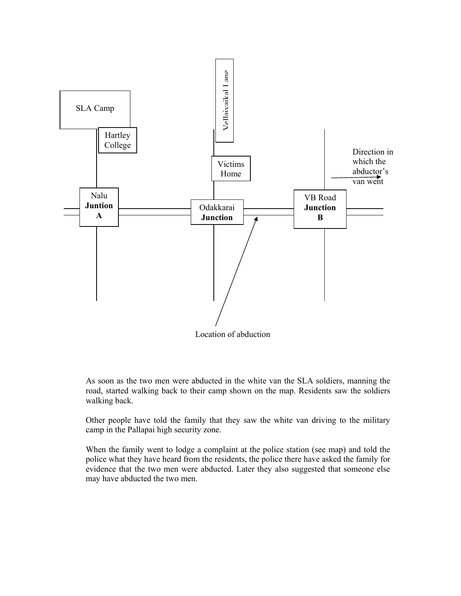

Location of abduction

As soon as the two men were abducted in the white van the SLA soldiers, manning the road, started walking back to their camp shown on the map. Residents saw the soldiers walking back.

Other people have told the family that they saw the white van driving to the military camp in the Pallapai high security zone.

When the family went to lodge a complaint at the police station (see map) and told the police what they have heard from the residents, the police there have asked the family for evidence that the two men were abducted. Later they also suggested that someone else may have abducted the two men.